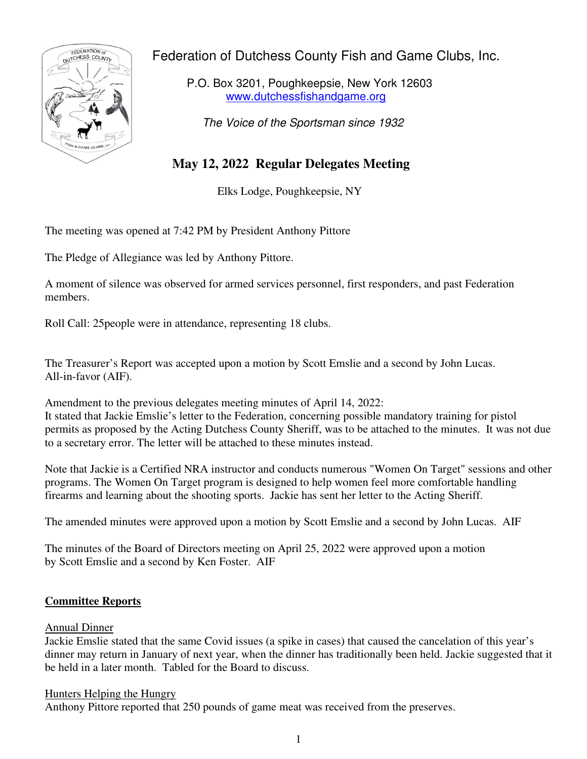Federation of Dutchess County Fish and Game Clubs, Inc.



P.O. Box 3201, Poughkeepsie, New York 12603 www.dutchessfishandgame.org

The Voice of the Sportsman since 1932

# **May 12, 2022 Regular Delegates Meeting**

Elks Lodge, Poughkeepsie, NY

The meeting was opened at 7:42 PM by President Anthony Pittore

The Pledge of Allegiance was led by Anthony Pittore.

A moment of silence was observed for armed services personnel, first responders, and past Federation members.

Roll Call: 25people were in attendance, representing 18 clubs.

The Treasurer's Report was accepted upon a motion by Scott Emslie and a second by John Lucas. All-in-favor (AIF).

Amendment to the previous delegates meeting minutes of April 14, 2022:

It stated that Jackie Emslie's letter to the Federation, concerning possible mandatory training for pistol permits as proposed by the Acting Dutchess County Sheriff, was to be attached to the minutes. It was not due to a secretary error. The letter will be attached to these minutes instead.

Note that Jackie is a Certified NRA instructor and conducts numerous "Women On Target" sessions and other programs. The Women On Target program is designed to help women feel more comfortable handling firearms and learning about the shooting sports. Jackie has sent her letter to the Acting Sheriff.

The amended minutes were approved upon a motion by Scott Emslie and a second by John Lucas. AIF

The minutes of the Board of Directors meeting on April 25, 2022 were approved upon a motion by Scott Emslie and a second by Ken Foster. AIF

# **Committee Reports**

# Annual Dinner

Jackie Emslie stated that the same Covid issues (a spike in cases) that caused the cancelation of this year's dinner may return in January of next year, when the dinner has traditionally been held. Jackie suggested that it be held in a later month. Tabled for the Board to discuss.

# Hunters Helping the Hungry

Anthony Pittore reported that 250 pounds of game meat was received from the preserves.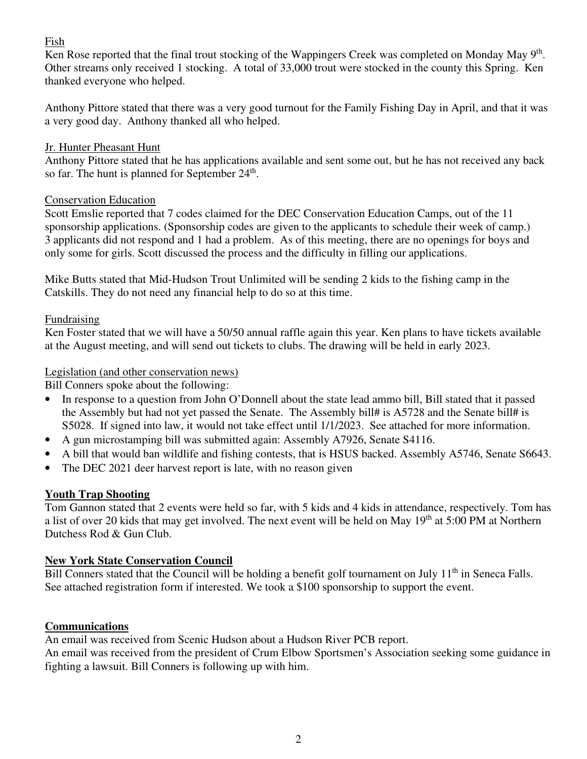# Fish

Ken Rose reported that the final trout stocking of the Wappingers Creek was completed on Monday May  $9<sup>th</sup>$ . Other streams only received 1 stocking. A total of 33,000 trout were stocked in the county this Spring. Ken thanked everyone who helped.

Anthony Pittore stated that there was a very good turnout for the Family Fishing Day in April, and that it was a very good day. Anthony thanked all who helped.

# Jr. Hunter Pheasant Hunt

Anthony Pittore stated that he has applications available and sent some out, but he has not received any back so far. The hunt is planned for September  $24<sup>th</sup>$ .

### Conservation Education

Scott Emslie reported that 7 codes claimed for the DEC Conservation Education Camps, out of the 11 sponsorship applications. (Sponsorship codes are given to the applicants to schedule their week of camp.) 3 applicants did not respond and 1 had a problem. As of this meeting, there are no openings for boys and only some for girls. Scott discussed the process and the difficulty in filling our applications.

Mike Butts stated that Mid-Hudson Trout Unlimited will be sending 2 kids to the fishing camp in the Catskills. They do not need any financial help to do so at this time.

### Fundraising

Ken Foster stated that we will have a 50/50 annual raffle again this year. Ken plans to have tickets available at the August meeting, and will send out tickets to clubs. The drawing will be held in early 2023.

#### Legislation (and other conservation news)

Bill Conners spoke about the following:

- In response to a question from John O'Donnell about the state lead ammo bill, Bill stated that it passed the Assembly but had not yet passed the Senate. The Assembly bill# is A5728 and the Senate bill# is S5028. If signed into law, it would not take effect until 1/1/2023. See attached for more information.
- A gun microstamping bill was submitted again: Assembly A7926, Senate S4116.
- A bill that would ban wildlife and fishing contests, that is HSUS backed. Assembly A5746, Senate S6643.
- The DEC 2021 deer harvest report is late, with no reason given

# **Youth Trap Shooting**

Tom Gannon stated that 2 events were held so far, with 5 kids and 4 kids in attendance, respectively. Tom has a list of over 20 kids that may get involved. The next event will be held on May  $19<sup>th</sup>$  at 5:00 PM at Northern Dutchess Rod & Gun Club.

# **New York State Conservation Council**

Bill Conners stated that the Council will be holding a benefit golf tournament on July  $11<sup>th</sup>$  in Seneca Falls. See attached registration form if interested. We took a \$100 sponsorship to support the event.

#### **Communications**

An email was received from Scenic Hudson about a Hudson River PCB report.

An email was received from the president of Crum Elbow Sportsmen's Association seeking some guidance in fighting a lawsuit. Bill Conners is following up with him.